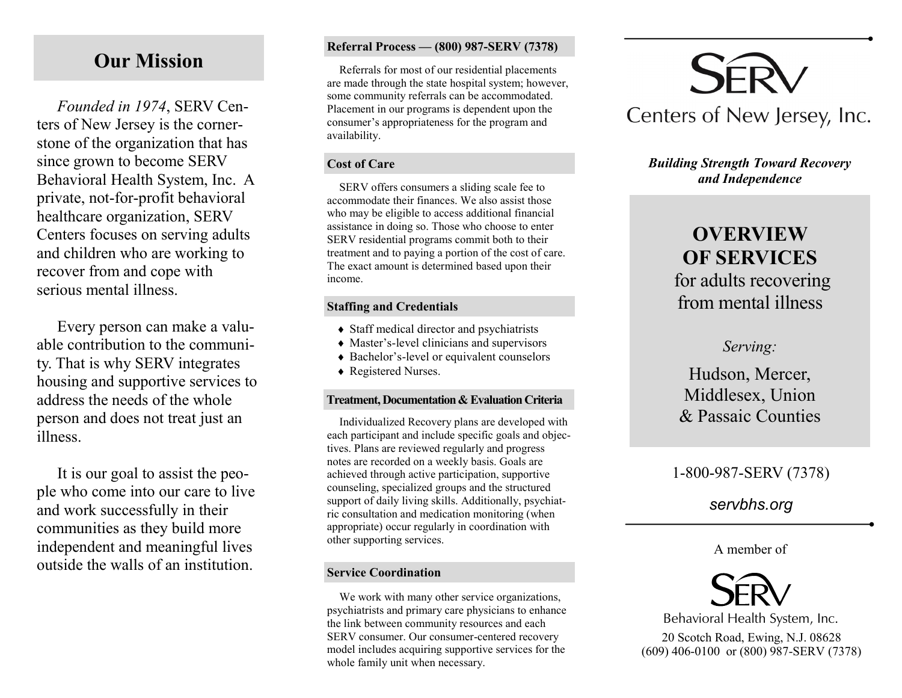# **Our Mission**

*Founded in 1974*, SERV Centers of New Jersey is the cornerstone of the organization that has since grown to become SERV Behavioral Health System, Inc. A private, not-for-profit behavioral healthcare organization, SERV Centers focuses on serving adults and children who are working to recover from and cope with serious mental illness.

Every person can make a valuable contribution to the community. That is why SERV integrates housing and supportive services to address the needs of the whole person and does not treat just an illness.

It is our goal to assist the people who come into our care to live and work successfully in their communities as they build more independent and meaningful lives outside the walls of an institution.

#### **Referral Process — (800) 987-SERV (7378)**

Referrals for most of our residential placements are made through the state hospital system; however, some community referrals can be accommodated. Placement in our programs is dependent upon the consumer's appropriateness for the program and availability.

#### **Cost of Care**

SERV offers consumers a sliding scale fee to accommodate their finances. We also assist those who may be eligible to access additional financial assistance in doing so. Those who choose to enter SERV residential programs commit both to their treatment and to paying a portion of the cost of care. The exact amount is determined based upon their income.

#### **Staffing and Credentials**

- Staff medical director and psychiatrists
- Master's-level clinicians and supervisors
- ◆ Bachelor's-level or equivalent counselors
- ◆ Registered Nurses.

#### **Treatment, Documentation & Evaluation Criteria**

Individualized Recovery plans are developed with each participant and include specific goals and objectives. Plans are reviewed regularly and progress notes are recorded on a weekly basis. Goals are achieved through active participation, supportive counseling, specialized groups and the structured support of daily living skills. Additionally, psychiatric consultation and medication monitoring (when appropriate) occur regularly in coordination with other supporting services.

#### **Service Coordination**

We work with many other service organizations, psychiatrists and primary care physicians to enhance the link between community resources and each SERV consumer. Our consumer-centered recovery model includes acquiring supportive services for the whole family unit when necessary.



#### *Building Strength Toward Recovery and Independence*

# **OVERVIEW OF SERVICES** for adults recovering

from mental illness

### *Serving:*

## Hudson, Mercer, Middlesex, Union & Passaic Counties

## 1-800-987-SERV (7378)

## *servbhs.org*

#### A member of



20 Scotch Road, Ewing, N.J. 08628 (609) 406-0100 or (800) 987-SERV (7378) Behavioral Health System, Inc.